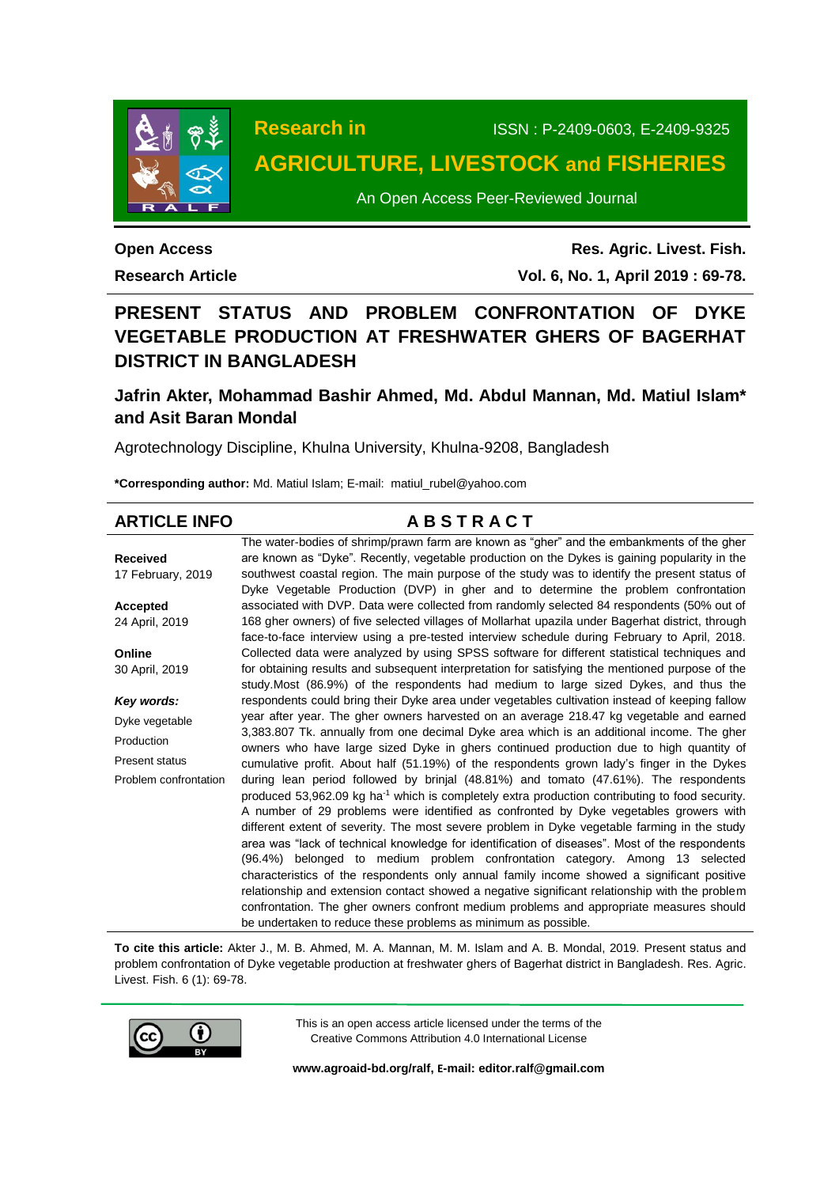

**Research in** ISSN : P-2409-0603, E-2409-9325

# **AGRICULTURE, LIVESTOCK and FISHERIES**

An Open Access Peer-Reviewed Journal

**Open Access Research Article**

**Res. Agric. Livest. Fish. Vol. 6, No. 1, April 2019 : 69-78.**

# **PRESENT STATUS AND PROBLEM CONFRONTATION OF DYKE VEGETABLE PRODUCTION AT FRESHWATER GHERS OF BAGERHAT DISTRICT IN BANGLADESH**

# **Jafrin Akter, Mohammad Bashir Ahmed, Md. Abdul Mannan, Md. Matiul Islam\* and Asit Baran Mondal**

Agrotechnology Discipline, Khulna University, Khulna-9208, Bangladesh

**\*Corresponding author:** Md. Matiul Islam; E-mail: [matiul\\_rubel@yahoo.com](mailto:%20shahriar1302027@gmail.com) 

| <b>ARTICLE INFO</b>   | <b>ABSTRACT</b>                                                                                            |
|-----------------------|------------------------------------------------------------------------------------------------------------|
|                       | The water-bodies of shrimp/prawn farm are known as "gher" and the embankments of the gher                  |
| <b>Received</b>       | are known as "Dyke". Recently, vegetable production on the Dykes is gaining popularity in the              |
| 17 February, 2019     | southwest coastal region. The main purpose of the study was to identify the present status of              |
|                       | Dyke Vegetable Production (DVP) in gher and to determine the problem confrontation                         |
| <b>Accepted</b>       | associated with DVP. Data were collected from randomly selected 84 respondents (50% out of                 |
| 24 April, 2019        | 168 gher owners) of five selected villages of Mollarhat upazila under Bagerhat district, through           |
|                       | face-to-face interview using a pre-tested interview schedule during February to April, 2018.               |
| Online                | Collected data were analyzed by using SPSS software for different statistical techniques and               |
| 30 April, 2019        | for obtaining results and subsequent interpretation for satisfying the mentioned purpose of the            |
|                       | study.Most (86.9%) of the respondents had medium to large sized Dykes, and thus the                        |
| Key words:            | respondents could bring their Dyke area under vegetables cultivation instead of keeping fallow             |
| Dyke vegetable        | year after year. The gher owners harvested on an average 218.47 kg vegetable and earned                    |
| Production            | 3,383.807 Tk. annually from one decimal Dyke area which is an additional income. The gher                  |
| Present status        | owners who have large sized Dyke in ghers continued production due to high quantity of                     |
|                       | cumulative profit. About half (51.19%) of the respondents grown lady's finger in the Dykes                 |
| Problem confrontation | during lean period followed by brinjal (48.81%) and tomato (47.61%). The respondents                       |
|                       | produced 53,962.09 kg ha <sup>-1</sup> which is completely extra production contributing to food security. |
|                       | A number of 29 problems were identified as confronted by Dyke vegetables growers with                      |
|                       | different extent of severity. The most severe problem in Dyke vegetable farming in the study               |
|                       | area was "lack of technical knowledge for identification of diseases". Most of the respondents             |
|                       | (96.4%) belonged to medium problem confrontation category. Among 13 selected                               |
|                       | characteristics of the respondents only annual family income showed a significant positive                 |
|                       | relationship and extension contact showed a negative significant relationship with the problem             |
|                       | confrontation. The gher owners confront medium problems and appropriate measures should                    |
|                       | be undertaken to reduce these problems as minimum as possible.                                             |

**To cite this article:** Akter J., M. B. Ahmed, M. A. Mannan, M. M. Islam and A. B. Mondal, 2019. Present status and problem confrontation of Dyke vegetable production at freshwater ghers of Bagerhat district in Bangladesh. Res. Agric. Livest. Fish. 6 (1): 69-78.



This is an open access article licensed under the terms of the Creative Commons Attribution 4.0 International License

**[www.agroaid-bd.org/ralf,](http://www.agroaid-bd.org/ralf) E-mail[: editor.ralf@gmail.com](mailto:editor.ralf@gmail.com)**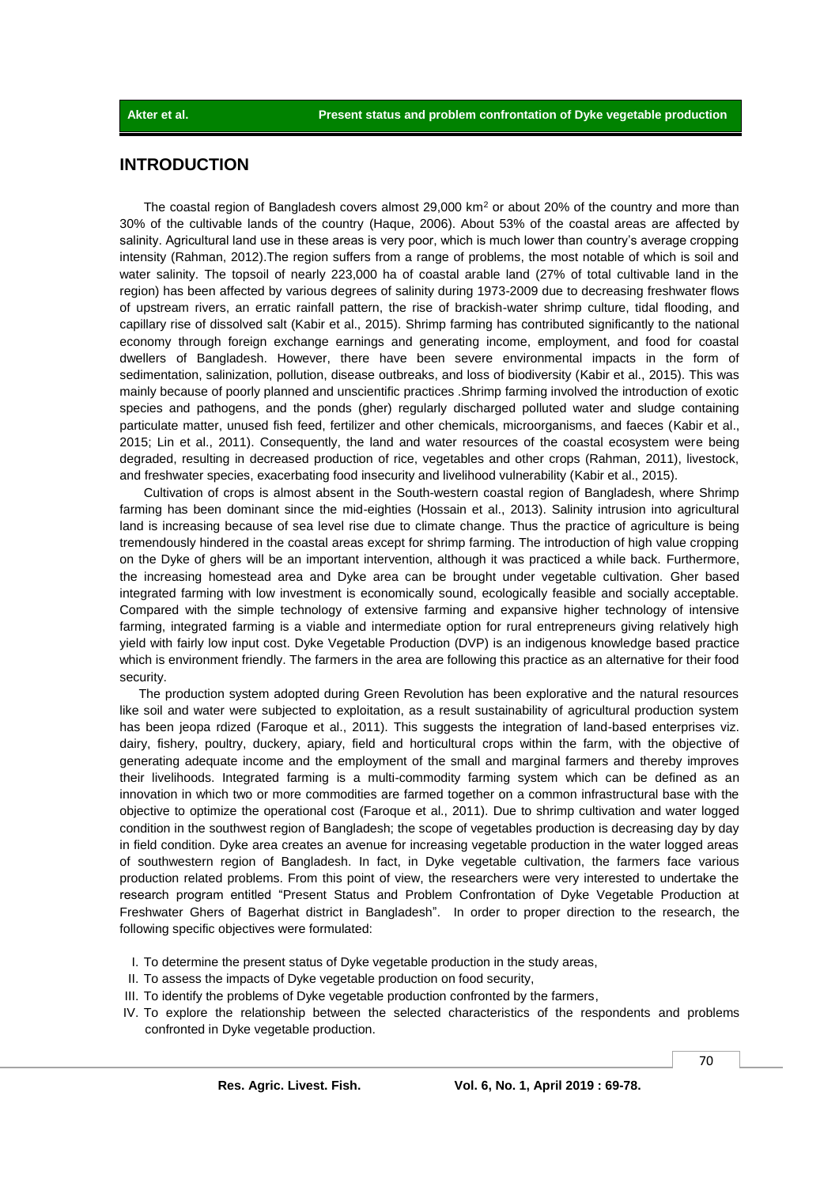# **INTRODUCTION**

The coastal region of Bangladesh covers almost 29,000  $km<sup>2</sup>$  or about 20% of the country and more than 30% of the cultivable lands of the country (Haque, 2006). About 53% of the coastal areas are affected by salinity. Agricultural land use in these areas is very poor, which is much lower than country's average cropping intensity (Rahman, 2012).The region suffers from a range of problems, the most notable of which is soil and water salinity. The topsoil of nearly 223,000 ha of coastal arable land (27% of total cultivable land in the region) has been affected by various degrees of salinity during 1973-2009 due to decreasing freshwater flows of upstream rivers, an erratic rainfall pattern, the rise of brackish-water shrimp culture, tidal flooding, and capillary rise of dissolved salt (Kabir et al., 2015). Shrimp farming has contributed significantly to the national economy through foreign exchange earnings and generating income, employment, and food for coastal dwellers of Bangladesh. However, there have been severe environmental impacts in the form of sedimentation, salinization, pollution, disease outbreaks, and loss of biodiversity (Kabir et al., 2015). This was mainly because of poorly planned and unscientific practices .Shrimp farming involved the introduction of exotic species and pathogens, and the ponds (gher) regularly discharged polluted water and sludge containing particulate matter, unused fish feed, fertilizer and other chemicals, microorganisms, and faeces (Kabir et al., 2015; Lin et al., 2011). Consequently, the land and water resources of the coastal ecosystem were being degraded, resulting in decreased production of rice, vegetables and other crops (Rahman, 2011), livestock, and freshwater species, exacerbating food insecurity and livelihood vulnerability (Kabir et al., 2015).

Cultivation of crops is almost absent in the South-western coastal region of Bangladesh, where Shrimp farming has been dominant since the mid-eighties (Hossain et al., 2013). Salinity intrusion into agricultural land is increasing because of sea level rise due to climate change. Thus the practice of agriculture is being tremendously hindered in the coastal areas except for shrimp farming. The introduction of high value cropping on the Dyke of ghers will be an important intervention, although it was practiced a while back. Furthermore, the increasing homestead area and Dyke area can be brought under vegetable cultivation. Gher based integrated farming with low investment is economically sound, ecologically feasible and socially acceptable. Compared with the simple technology of extensive farming and expansive higher technology of intensive farming, integrated farming is a viable and intermediate option for rural entrepreneurs giving relatively high yield with fairly low input cost. Dyke Vegetable Production (DVP) is an indigenous knowledge based practice which is environment friendly. The farmers in the area are following this practice as an alternative for their food security.

The production system adopted during Green Revolution has been explorative and the natural resources like soil and water were subjected to exploitation, as a result sustainability of agricultural production system has been jeopa rdized (Faroque et al., 2011). This suggests the integration of land-based enterprises viz. dairy, fishery, poultry, duckery, apiary, field and horticultural crops within the farm, with the objective of generating adequate income and the employment of the small and marginal farmers and thereby improves their livelihoods. Integrated farming is a multi-commodity farming system which can be defined as an innovation in which two or more commodities are farmed together on a common infrastructural base with the objective to optimize the operational cost (Faroque et al., 2011). Due to shrimp cultivation and water logged condition in the southwest region of Bangladesh; the scope of vegetables production is decreasing day by day in field condition. Dyke area creates an avenue for increasing vegetable production in the water logged areas of southwestern region of Bangladesh. In fact, in Dyke vegetable cultivation, the farmers face various production related problems. From this point of view, the researchers were very interested to undertake the research program entitled "Present Status and Problem Confrontation of Dyke Vegetable Production at Freshwater Ghers of Bagerhat district in Bangladesh". In order to proper direction to the research, the following specific objectives were formulated:

- I. To determine the present status of Dyke vegetable production in the study areas,
- II. To assess the impacts of Dyke vegetable production on food security,
- III. To identify the problems of Dyke vegetable production confronted by the farmers,
- IV. To explore the relationship between the selected characteristics of the respondents and problems confronted in Dyke vegetable production.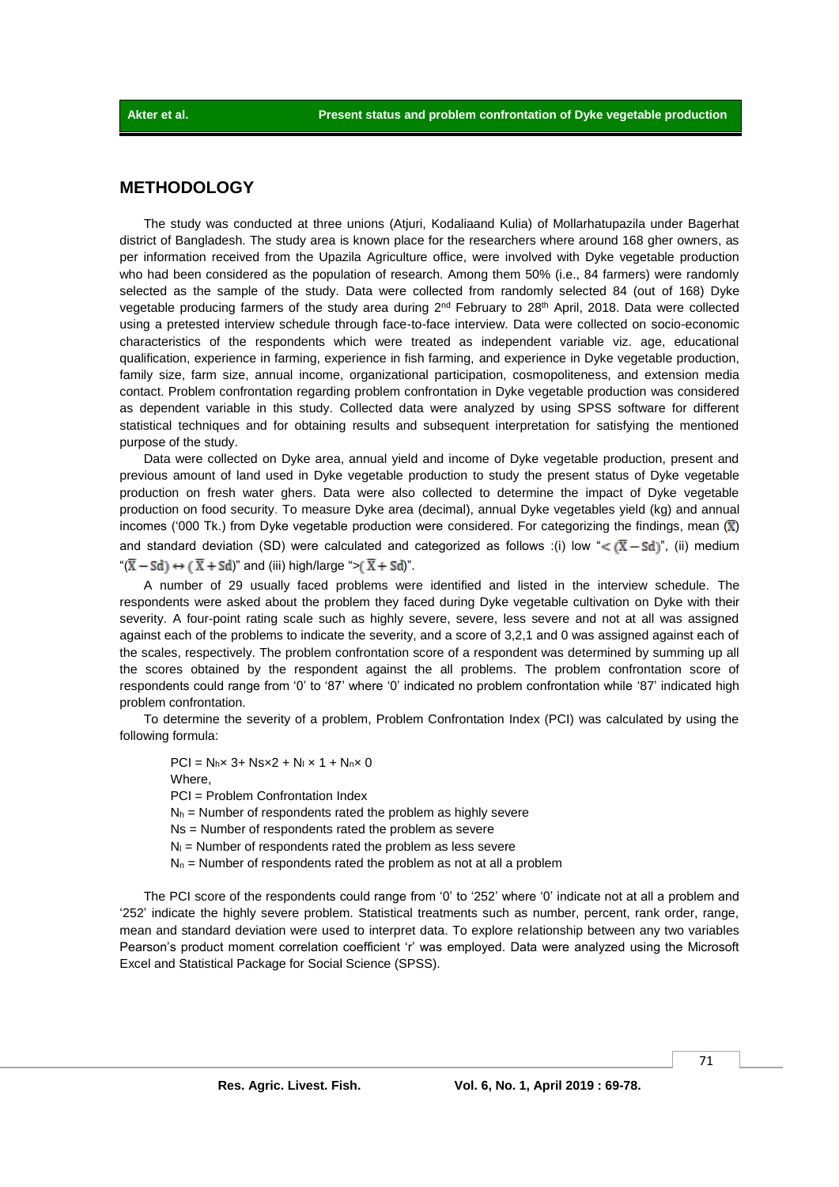# **METHODOLOGY**

The study was conducted at three unions (Atjuri, Kodaliaand Kulia) of Mollarhatupazila under Bagerhat district of Bangladesh. The study area is known place for the researchers where around 168 gher owners, as per information received from the Upazila Agriculture office, were involved with Dyke vegetable production who had been considered as the population of research. Among them 50% (i.e., 84 farmers) were randomly selected as the sample of the study. Data were collected from randomly selected 84 (out of 168) Dyke vegetable producing farmers of the study area during  $2<sup>nd</sup>$  February to  $28<sup>th</sup>$  April, 2018. Data were collected using a pretested interview schedule through face-to-face interview. Data were collected on socio-economic characteristics of the respondents which were treated as independent variable viz. age, educational qualification, experience in farming, experience in fish farming, and experience in Dyke vegetable production, family size, farm size, annual income, organizational participation, cosmopoliteness, and extension media contact. Problem confrontation regarding problem confrontation in Dyke vegetable production was considered as dependent variable in this study. Collected data were analyzed by using SPSS software for different statistical techniques and for obtaining results and subsequent interpretation for satisfying the mentioned purpose of the study.

Data were collected on Dyke area, annual yield and income of Dyke vegetable production, present and previous amount of land used in Dyke vegetable production to study the present status of Dyke vegetable production on fresh water ghers. Data were also collected to determine the impact of Dyke vegetable production on food security. To measure Dyke area (decimal), annual Dyke vegetables yield (kg) and annual incomes ('000 Tk.) from Dyke vegetable production were considered. For categorizing the findings, mean  $(\bar{x})$ and standard deviation (SD) were calculated and categorized as follows :(i) low " $\lt (\overline{X} - Sd)$ ", (ii) medium " $(\overline{X} - Sd) \leftrightarrow (\overline{X} + Sd)$ " and (iii) high/large ">  $(\overline{X} + Sd)$ ".

A number of 29 usually faced problems were identified and listed in the interview schedule. The respondents were asked about the problem they faced during Dyke vegetable cultivation on Dyke with their severity. A four-point rating scale such as highly severe, severe, less severe and not at all was assigned against each of the problems to indicate the severity, and a score of 3,2,1 and 0 was assigned against each of the scales, respectively. The problem confrontation score of a respondent was determined by summing up all the scores obtained by the respondent against the all problems. The problem confrontation score of respondents could range from '0' to '87' where '0' indicated no problem confrontation while '87' indicated high problem confrontation.

To determine the severity of a problem, Problem Confrontation Index (PCI) was calculated by using the following formula:

 $PCI = N_h \times 3 + N_s \times 2 + N_l \times 1 + N_n \times 0$ Where, PCI = Problem Confrontation Index  $N<sub>h</sub>$  = Number of respondents rated the problem as highly severe Ns = Number of respondents rated the problem as severe  $N<sub>l</sub>$  = Number of respondents rated the problem as less severe  $N_n$  = Number of respondents rated the problem as not at all a problem

The PCI score of the respondents could range from '0' to '252' where '0' indicate not at all a problem and '252' indicate the highly severe problem. Statistical treatments such as number, percent, rank order, range, mean and standard deviation were used to interpret data. To explore relationship between any two variables Pearson's product moment correlation coefficient 'r' was employed. Data were analyzed using the Microsoft Excel and Statistical Package for Social Science (SPSS).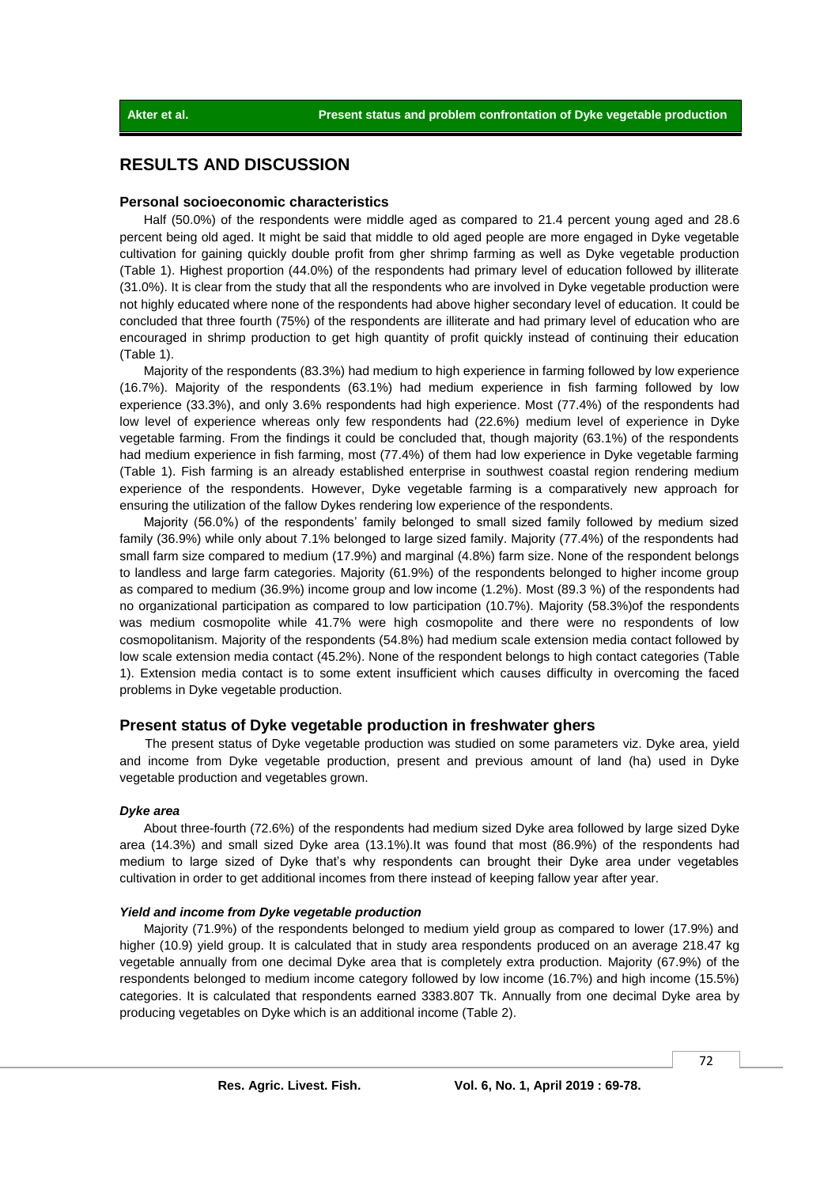# **RESULTS AND DISCUSSION**

#### **Personal socioeconomic characteristics**

Half (50.0%) of the respondents were middle aged as compared to 21.4 percent young aged and 28.6 percent being old aged. It might be said that middle to old aged people are more engaged in Dyke vegetable cultivation for gaining quickly double profit from gher shrimp farming as well as Dyke vegetable production (Table 1). Highest proportion (44.0%) of the respondents had primary level of education followed by illiterate (31.0%). It is clear from the study that all the respondents who are involved in Dyke vegetable production were not highly educated where none of the respondents had above higher secondary level of education. It could be concluded that three fourth (75%) of the respondents are illiterate and had primary level of education who are encouraged in shrimp production to get high quantity of profit quickly instead of continuing their education (Table 1).

Majority of the respondents (83.3%) had medium to high experience in farming followed by low experience (16.7%). Majority of the respondents (63.1%) had medium experience in fish farming followed by low experience (33.3%), and only 3.6% respondents had high experience. Most (77.4%) of the respondents had low level of experience whereas only few respondents had (22.6%) medium level of experience in Dyke vegetable farming. From the findings it could be concluded that, though majority (63.1%) of the respondents had medium experience in fish farming, most (77.4%) of them had low experience in Dyke vegetable farming (Table 1). Fish farming is an already established enterprise in southwest coastal region rendering medium experience of the respondents. However, Dyke vegetable farming is a comparatively new approach for ensuring the utilization of the fallow Dykes rendering low experience of the respondents.

Majority (56.0%) of the respondents' family belonged to small sized family followed by medium sized family (36.9%) while only about 7.1% belonged to large sized family. Majority (77.4%) of the respondents had small farm size compared to medium (17.9%) and marginal (4.8%) farm size. None of the respondent belongs to landless and large farm categories. Majority (61.9%) of the respondents belonged to higher income group as compared to medium (36.9%) income group and low income (1.2%). Most (89.3 %) of the respondents had no organizational participation as compared to low participation (10.7%). Majority (58.3%)of the respondents was medium cosmopolite while 41.7% were high cosmopolite and there were no respondents of low cosmopolitanism. Majority of the respondents (54.8%) had medium scale extension media contact followed by low scale extension media contact (45.2%). None of the respondent belongs to high contact categories (Table 1). Extension media contact is to some extent insufficient which causes difficulty in overcoming the faced problems in Dyke vegetable production.

## **Present status of Dyke vegetable production in freshwater ghers**

The present status of Dyke vegetable production was studied on some parameters viz. Dyke area, yield and income from Dyke vegetable production, present and previous amount of land (ha) used in Dyke vegetable production and vegetables grown.

### *Dyke area*

About three-fourth (72.6%) of the respondents had medium sized Dyke area followed by large sized Dyke area (14.3%) and small sized Dyke area (13.1%).It was found that most (86.9%) of the respondents had medium to large sized of Dyke that's why respondents can brought their Dyke area under vegetables cultivation in order to get additional incomes from there instead of keeping fallow year after year.

#### *Yield and income from Dyke vegetable production*

Majority (71.9%) of the respondents belonged to medium yield group as compared to lower (17.9%) and higher (10.9) yield group. It is calculated that in study area respondents produced on an average 218.47 kg vegetable annually from one decimal Dyke area that is completely extra production. Majority (67.9%) of the respondents belonged to medium income category followed by low income (16.7%) and high income (15.5%) categories. It is calculated that respondents earned 3383.807 Tk. Annually from one decimal Dyke area by producing vegetables on Dyke which is an additional income (Table 2).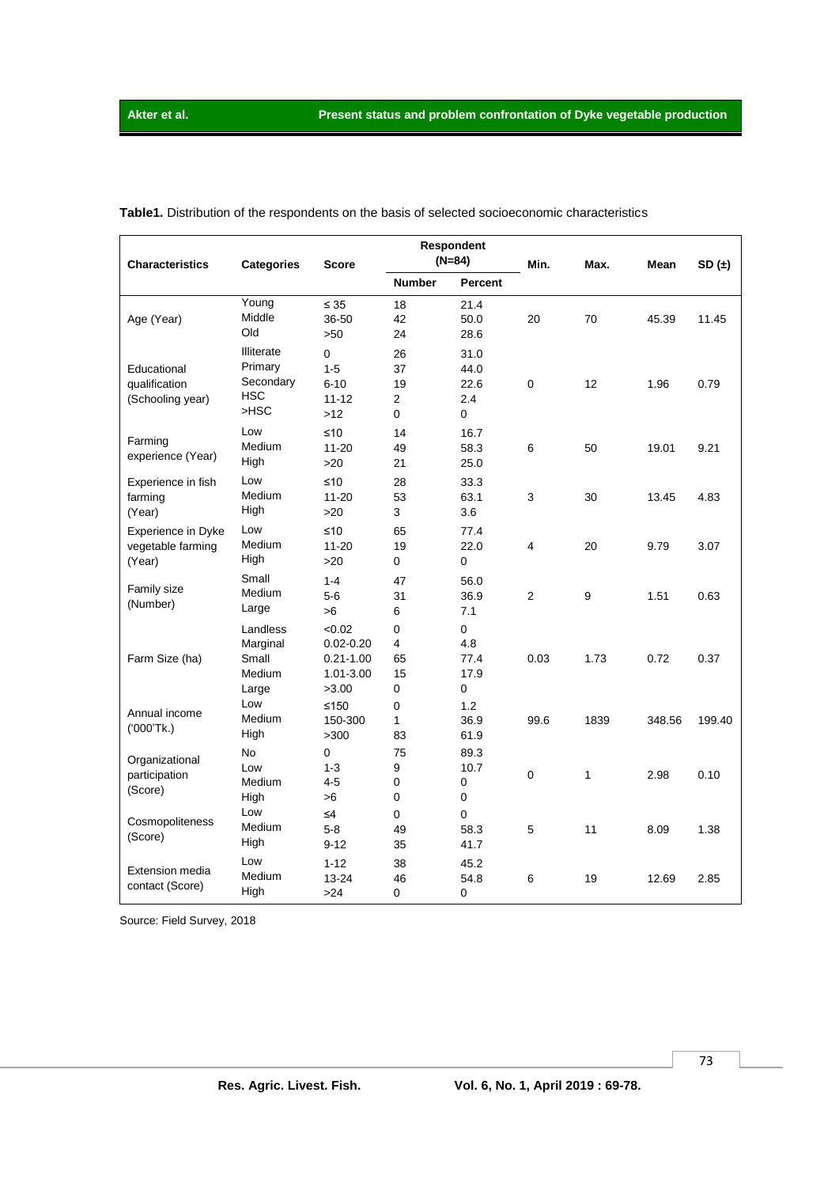| <b>Characteristics</b>                            | <b>Categories</b>                                           | <b>Score</b>                                                   | Respondent<br>$(N=84)$                |                                  | Min.           | Max.             | Mean   | SD(1)  |
|---------------------------------------------------|-------------------------------------------------------------|----------------------------------------------------------------|---------------------------------------|----------------------------------|----------------|------------------|--------|--------|
|                                                   |                                                             |                                                                | <b>Number</b>                         | Percent                          |                |                  |        |        |
| Age (Year)                                        | Young<br>Middle<br>Old                                      | $\leq 35$<br>36-50<br>>50                                      | 18<br>42<br>24                        | 21.4<br>50.0<br>28.6             | 20             | 70               | 45.39  | 11.45  |
| Educational<br>qualification<br>(Schooling year)  | Illiterate<br>Primary<br>Secondary<br><b>HSC</b><br>$>$ HSC | 0<br>$1 - 5$<br>$6 - 10$<br>$11 - 12$<br>>12                   | 26<br>37<br>19<br>$\overline{2}$<br>0 | 31.0<br>44.0<br>22.6<br>2.4<br>0 | $\pmb{0}$      | 12               | 1.96   | 0.79   |
| Farming<br>experience (Year)                      | Low<br>Medium<br>High                                       | ≤10<br>$11 - 20$<br>>20                                        | 14<br>49<br>21                        | 16.7<br>58.3<br>25.0             | $\,6\,$        | 50               | 19.01  | 9.21   |
| Experience in fish<br>farming<br>(Year)           | Low<br>Medium<br>High                                       | ≤10<br>$11 - 20$<br>>20                                        | 28<br>53<br>3                         | 33.3<br>63.1<br>3.6              | 3              | 30               | 13.45  | 4.83   |
| Experience in Dyke<br>vegetable farming<br>(Year) | Low<br>Medium<br>High                                       | ≤10<br>$11 - 20$<br>>20                                        | 65<br>19<br>0                         | 77.4<br>22.0<br>0                | 4              | 20               | 9.79   | 3.07   |
| Family size<br>(Number)                           | Small<br>Medium<br>Large                                    | $1 - 4$<br>$5-6$<br>>6                                         | 47<br>31<br>6                         | 56.0<br>36.9<br>7.1              | $\overline{2}$ | $\boldsymbol{9}$ | 1.51   | 0.63   |
| Farm Size (ha)                                    | Landless<br>Marginal<br>Small<br>Medium<br>Large            | < 0.02<br>$0.02 - 0.20$<br>$0.21 - 1.00$<br>1.01-3.00<br>>3.00 | 0<br>4<br>65<br>15<br>0               | 0<br>4.8<br>77.4<br>17.9<br>0    | 0.03           | 1.73             | 0.72   | 0.37   |
| Annual income<br>(000'Tk.)                        | Low<br>Medium<br>High                                       | ≤150<br>150-300<br>>300                                        | 0<br>1<br>83                          | 1.2<br>36.9<br>61.9              | 99.6           | 1839             | 348.56 | 199.40 |
| Organizational<br>participation<br>(Score)        | No<br>Low<br>Medium<br>High                                 | 0<br>$1 - 3$<br>$4 - 5$<br>>6                                  | 75<br>9<br>0<br>0                     | 89.3<br>10.7<br>0<br>0           | $\pmb{0}$      | 1                | 2.98   | 0.10   |
| Cosmopoliteness<br>(Score)                        | Low<br>Medium<br>High                                       | $\leq 4$<br>$5 - 8$<br>$9 - 12$                                | 0<br>49<br>35                         | 0<br>58.3<br>41.7                | 5              | 11               | 8.09   | 1.38   |
| <b>Extension media</b><br>contact (Score)         | Low<br>Medium<br>High                                       | $1 - 12$<br>$13 - 24$<br>>24                                   | 38<br>46<br>0                         | 45.2<br>54.8<br>0                | 6              | 19               | 12.69  | 2.85   |

**Table1.** Distribution of the respondents on the basis of selected socioeconomic characteristics

Source: Field Survey, 2018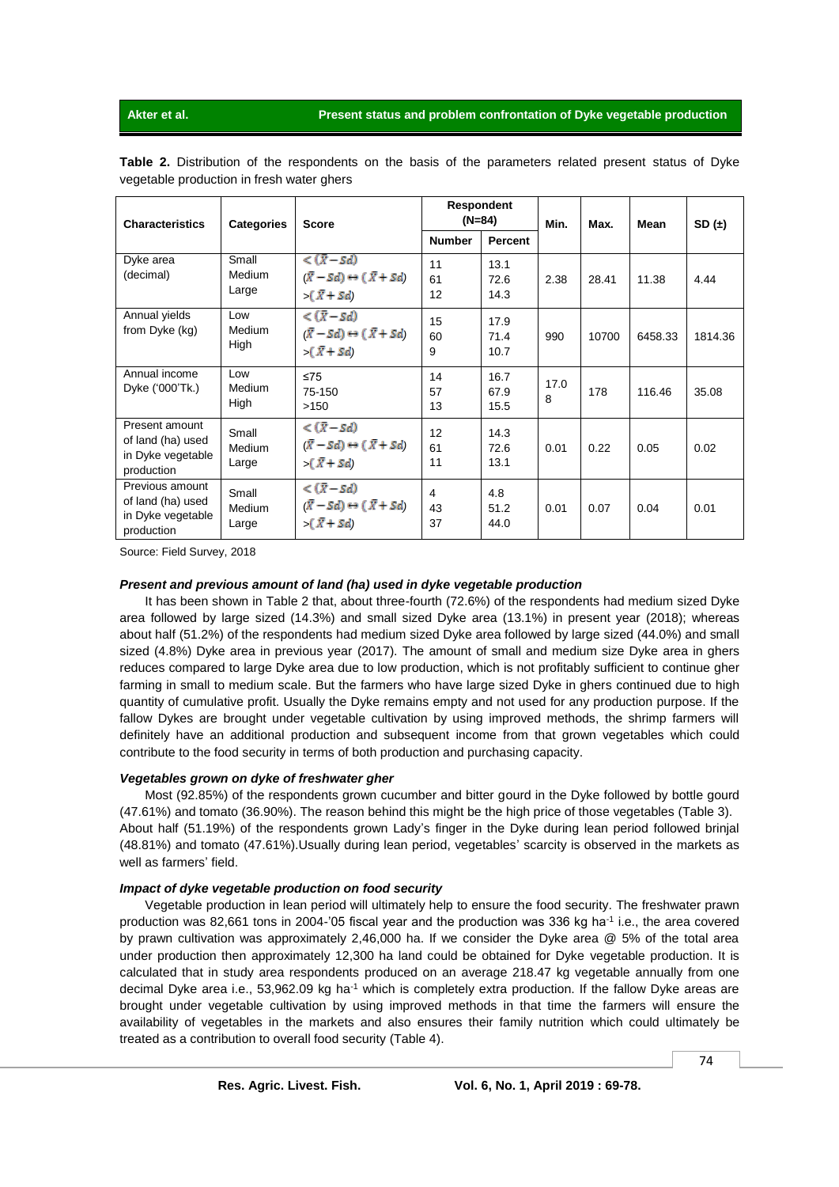| <b>Characteristics</b>                                                  | <b>Categories</b>               | <b>Score</b>                                                                                                   | <b>Respondent</b><br>(N=84) |                      | Min.      | Max.  | Mean    | SD $(\pm)$ |
|-------------------------------------------------------------------------|---------------------------------|----------------------------------------------------------------------------------------------------------------|-----------------------------|----------------------|-----------|-------|---------|------------|
|                                                                         |                                 |                                                                                                                | <b>Number</b>               | Percent              |           |       |         |            |
| Dyke area<br>(decimal)                                                  | Small<br>Medium<br>Large        | $\langle (\bar{x}-sd) \rangle$<br>$(\bar{X}-Sd)\leftrightarrow (\bar{X}+Sd)$<br>$-(\bar{X}+Sd)$                | 11<br>61<br>12              | 13.1<br>72.6<br>14.3 | 2.38      | 28.41 | 11.38   | 4.44       |
| Annual yields<br>from Dyke (kg)                                         | Low<br>Medium<br>High           | $\langle (\overline{x} - s_d) \rangle$<br>$(\bar{X} - Sd) \leftrightarrow (\bar{X} + Sd)$<br>$\sqrt{(X + Sd)}$ | 15<br>60<br>9               | 17.9<br>71.4<br>10.7 | 990       | 10700 | 6458.33 | 1814.36    |
| Annual income<br>Dyke ('000'Tk.)                                        | Low<br>Medium<br>High           | $\leq 75$<br>75-150<br>>150                                                                                    | 14<br>57<br>13              | 16.7<br>67.9<br>15.5 | 17.0<br>8 | 178   | 116.46  | 35.08      |
| Present amount<br>of land (ha) used<br>in Dyke vegetable<br>production  | Small<br><b>Medium</b><br>Large | $\langle (\overline{x} - sd) \rangle$<br>$(\bar{X}-Sd)\leftrightarrow (\bar{X}+Sd)$<br>$-(\bar{X}+Sd)$         | 12<br>61<br>11              | 14.3<br>72.6<br>13.1 | 0.01      | 0.22  | 0.05    | 0.02       |
| Previous amount<br>of land (ha) used<br>in Dyke vegetable<br>production | Small<br>Medium<br>Large        | $\langle (\overline{x} - sd) \rangle$<br>$(\bar{X}-Sd)\leftrightarrow (\bar{X}+Sd)$<br>$-(\bar{X}+Sd)$         | 4<br>43<br>37               | 4.8<br>51.2<br>44.0  | 0.01      | 0.07  | 0.04    | 0.01       |

**Table 2.** Distribution of the respondents on the basis of the parameters related present status of Dyke vegetable production in fresh water ghers

Source: Field Survey, 2018

#### *Present and previous amount of land (ha) used in dyke vegetable production*

It has been shown in Table 2 that, about three-fourth (72.6%) of the respondents had medium sized Dyke area followed by large sized (14.3%) and small sized Dyke area (13.1%) in present year (2018); whereas about half (51.2%) of the respondents had medium sized Dyke area followed by large sized (44.0%) and small sized (4.8%) Dyke area in previous year (2017). The amount of small and medium size Dyke area in ghers reduces compared to large Dyke area due to low production, which is not profitably sufficient to continue gher farming in small to medium scale. But the farmers who have large sized Dyke in ghers continued due to high quantity of cumulative profit. Usually the Dyke remains empty and not used for any production purpose. If the fallow Dykes are brought under vegetable cultivation by using improved methods, the shrimp farmers will definitely have an additional production and subsequent income from that grown vegetables which could contribute to the food security in terms of both production and purchasing capacity.

### *Vegetables grown on dyke of freshwater gher*

Most (92.85%) of the respondents grown cucumber and bitter gourd in the Dyke followed by bottle gourd (47.61%) and tomato (36.90%). The reason behind this might be the high price of those vegetables (Table 3). About half (51.19%) of the respondents grown Lady's finger in the Dyke during lean period followed brinjal (48.81%) and tomato (47.61%).Usually during lean period, vegetables' scarcity is observed in the markets as well as farmers' field.

### *Impact of dyke vegetable production on food security*

Vegetable production in lean period will ultimately help to ensure the food security. The freshwater prawn production was 82,661 tons in 2004-'05 fiscal year and the production was 336 kg ha<sup>-1</sup> i.e., the area covered by prawn cultivation was approximately 2,46,000 ha. If we consider the Dyke area @ 5% of the total area under production then approximately 12,300 ha land could be obtained for Dyke vegetable production. It is calculated that in study area respondents produced on an average 218.47 kg vegetable annually from one decimal Dyke area i.e., 53,962.09 kg ha<sup>-1</sup> which is completely extra production. If the fallow Dyke areas are brought under vegetable cultivation by using improved methods in that time the farmers will ensure the availability of vegetables in the markets and also ensures their family nutrition which could ultimately be treated as a contribution to overall food security (Table 4).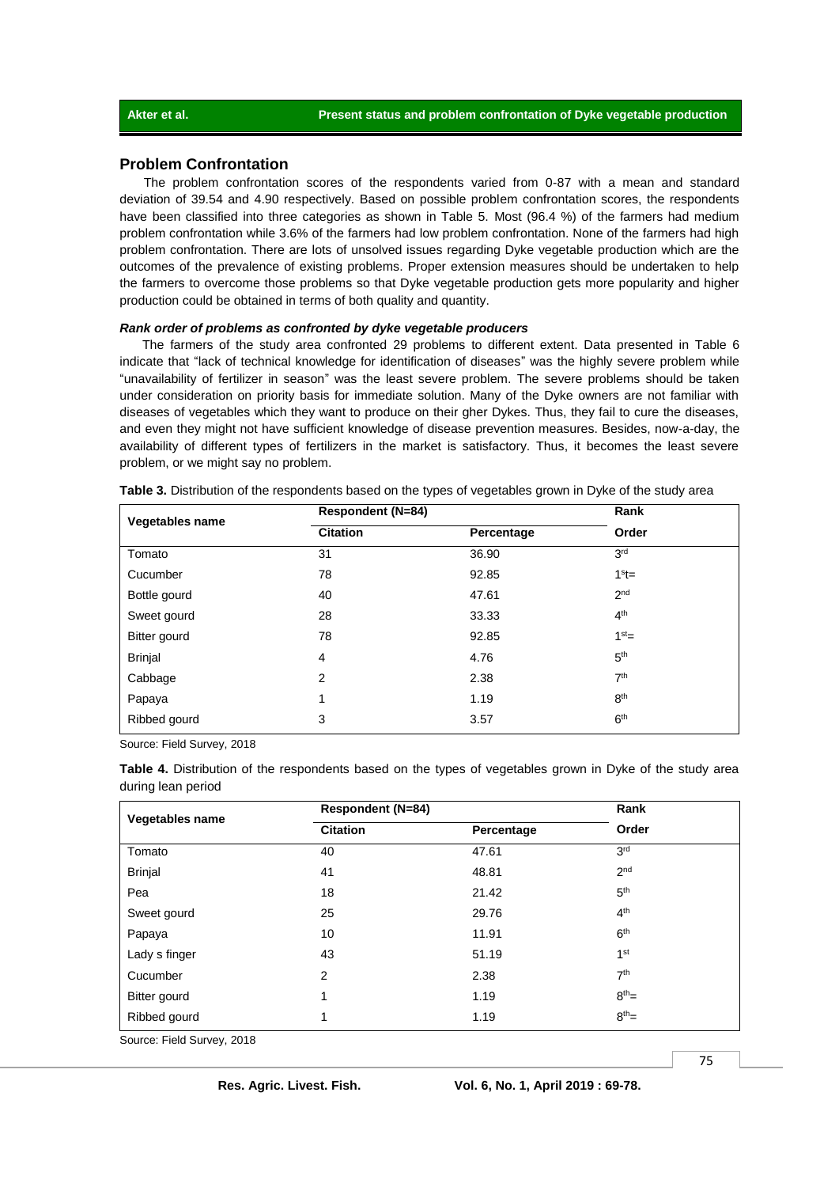# **Problem Confrontation**

The problem confrontation scores of the respondents varied from 0-87 with a mean and standard deviation of 39.54 and 4.90 respectively. Based on possible problem confrontation scores, the respondents have been classified into three categories as shown in Table 5. Most (96.4 %) of the farmers had medium problem confrontation while 3.6% of the farmers had low problem confrontation. None of the farmers had high problem confrontation. There are lots of unsolved issues regarding Dyke vegetable production which are the outcomes of the prevalence of existing problems. Proper extension measures should be undertaken to help the farmers to overcome those problems so that Dyke vegetable production gets more popularity and higher production could be obtained in terms of both quality and quantity.

#### *Rank order of problems as confronted by dyke vegetable producers*

The farmers of the study area confronted 29 problems to different extent. Data presented in Table 6 indicate that "lack of technical knowledge for identification of diseases" was the highly severe problem while "unavailability of fertilizer in season" was the least severe problem. The severe problems should be taken under consideration on priority basis for immediate solution. Many of the Dyke owners are not familiar with diseases of vegetables which they want to produce on their gher Dykes. Thus, they fail to cure the diseases, and even they might not have sufficient knowledge of disease prevention measures. Besides, now-a-day, the availability of different types of fertilizers in the market is satisfactory. Thus, it becomes the least severe problem, or we might say no problem.

| Vegetables name | <b>Respondent (N=84)</b> |            | Rank            |  |
|-----------------|--------------------------|------------|-----------------|--|
|                 | <b>Citation</b>          | Percentage | Order           |  |
| Tomato          | 31                       | 36.90      | 3 <sup>rd</sup> |  |
| Cucumber        | 78                       | 92.85      | $1st=$          |  |
| Bottle gourd    | 40                       | 47.61      | 2 <sub>nd</sub> |  |
| Sweet gourd     | 28                       | 33.33      | 4 <sup>th</sup> |  |
| Bitter gourd    | 78                       | 92.85      | 1 <sup>st</sup> |  |
| <b>Brinjal</b>  | $\overline{4}$           | 4.76       | 5 <sup>th</sup> |  |
| Cabbage         | 2                        | 2.38       | 7 <sup>th</sup> |  |
| Papaya          | 1                        | 1.19       | 8 <sup>th</sup> |  |
| Ribbed gourd    | 3                        | 3.57       | 6 <sup>th</sup> |  |

**Table 3.** Distribution of the respondents based on the types of vegetables grown in Dyke of the study area

Source: Field Survey, 2018

**Table 4.** Distribution of the respondents based on the types of vegetables grown in Dyke of the study area during lean period

|                                                                                   | <b>Respondent (N=84)</b> |            | Rank            |  |
|-----------------------------------------------------------------------------------|--------------------------|------------|-----------------|--|
| Vegetables name                                                                   | <b>Citation</b>          | Percentage | Order           |  |
| Tomato                                                                            | 40                       | 47.61      | 3 <sup>rd</sup> |  |
| <b>Brinjal</b>                                                                    | 41                       | 48.81      | 2 <sup>nd</sup> |  |
| Pea                                                                               | 18                       | 21.42      | 5 <sup>th</sup> |  |
| Sweet gourd                                                                       | 25                       | 29.76      | 4 <sup>th</sup> |  |
| Papaya                                                                            | 10                       | 11.91      | 6 <sup>th</sup> |  |
| Lady s finger                                                                     | 43                       | 51.19      | 1 <sup>st</sup> |  |
| Cucumber                                                                          | 2                        | 2.38       | 7 <sup>th</sup> |  |
| Bitter gourd                                                                      | 1                        | 1.19       | $8^{th}$ =      |  |
| Ribbed gourd                                                                      | 1                        | 1.19       | $8th$ =         |  |
| $O_{\text{cutoff}}$ $E_{\text{total}}^{(n)}$ $O_{\text{cutoff}}$ $O_{\text{CMB}}$ |                          |            |                 |  |

Source: Field Survey, 2018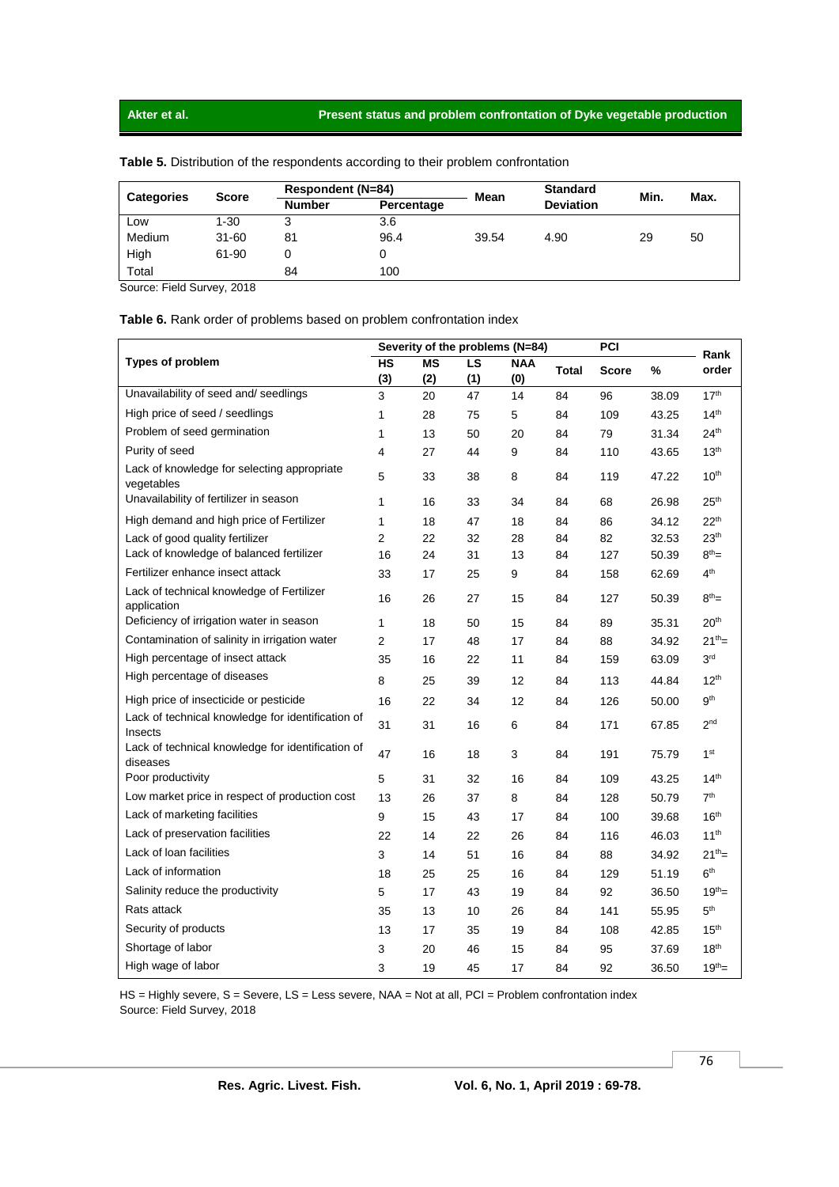## **Akter et al. Present status and problem confrontation of Dyke vegetable production**

| <b>Categories</b> | <b>Score</b> |               | Respondent (N=84) |             | <b>Standard</b>  | Min. | Max. |
|-------------------|--------------|---------------|-------------------|-------------|------------------|------|------|
|                   |              | <b>Number</b> | Percentage        | <b>Mean</b> | <b>Deviation</b> |      |      |
| Low               | $1 - 30$     | 3             | 3.6               |             |                  |      |      |
| Medium            | 31-60        | 81            | 96.4              | 39.54       | 4.90             | 29   | 50   |
| High              | 61-90        |               |                   |             |                  |      |      |
| Total             |              | 84            | 100               |             |                  |      |      |

**Table 5.** Distribution of the respondents according to their problem confrontation

Source: Field Survey, 2018

## **Table 6.** Rank order of problems based on problem confrontation index

|                                                               | Severity of the problems (N=84) |           |     |            |              | PCI          |       | Rank             |
|---------------------------------------------------------------|---------------------------------|-----------|-----|------------|--------------|--------------|-------|------------------|
| <b>Types of problem</b>                                       |                                 | <b>MS</b> | LS  | <b>NAA</b> | <b>Total</b> | <b>Score</b> | %     | order            |
|                                                               | (3)                             | (2)       | (1) | (0)        |              |              |       |                  |
| Unavailability of seed and/ seedlings                         | 3                               | 20        | 47  | 14         | 84           | 96           | 38.09 | 17 <sup>th</sup> |
| High price of seed / seedlings                                | 1                               | 28        | 75  | 5          | 84           | 109          | 43.25 | 14 <sup>th</sup> |
| Problem of seed germination                                   | 1                               | 13        | 50  | 20         | 84           | 79           | 31.34 | 24 <sup>th</sup> |
| Purity of seed                                                | 4                               | 27        | 44  | 9          | 84           | 110          | 43.65 | 13 <sup>th</sup> |
| Lack of knowledge for selecting appropriate<br>vegetables     | 5                               | 33        | 38  | 8          | 84           | 119          | 47.22 | 10 <sup>th</sup> |
| Unavailability of fertilizer in season                        | 1                               | 16        | 33  | 34         | 84           | 68           | 26.98 | 25 <sup>th</sup> |
| High demand and high price of Fertilizer                      | 1                               | 18        | 47  | 18         | 84           | 86           | 34.12 | 22 <sup>th</sup> |
| Lack of good quality fertilizer                               | 2                               | 22        | 32  | 28         | 84           | 82           | 32.53 | 23 <sup>th</sup> |
| Lack of knowledge of balanced fertilizer                      | 16                              | 24        | 31  | 13         | 84           | 127          | 50.39 | $8^{th}$ =       |
| Fertilizer enhance insect attack                              | 33                              | 17        | 25  | 9          | 84           | 158          | 62.69 | 4 <sup>th</sup>  |
| Lack of technical knowledge of Fertilizer<br>application      | 16                              | 26        | 27  | 15         | 84           | 127          | 50.39 | $8^{th}$ =       |
| Deficiency of irrigation water in season                      | 1                               | 18        | 50  | 15         | 84           | 89           | 35.31 | 20 <sup>th</sup> |
| Contamination of salinity in irrigation water                 | 2                               | 17        | 48  | 17         | 84           | 88           | 34.92 | $21^{th}$ =      |
| High percentage of insect attack                              | 35                              | 16        | 22  | 11         | 84           | 159          | 63.09 | 3 <sup>rd</sup>  |
| High percentage of diseases                                   | 8                               | 25        | 39  | 12         | 84           | 113          | 44.84 | $12^{th}$        |
| High price of insecticide or pesticide                        | 16                              | 22        | 34  | 12         | 84           | 126          | 50.00 | $9^{\rm th}$     |
| Lack of technical knowledge for identification of<br>Insects  | 31                              | 31        | 16  | 6          | 84           | 171          | 67.85 | 2 <sub>nd</sub>  |
| Lack of technical knowledge for identification of<br>diseases | 47                              | 16        | 18  | 3          | 84           | 191          | 75.79 | 1 <sup>st</sup>  |
| Poor productivity                                             | 5                               | 31        | 32  | 16         | 84           | 109          | 43.25 | 14 <sup>th</sup> |
| Low market price in respect of production cost                | 13                              | 26        | 37  | 8          | 84           | 128          | 50.79 | 7 <sup>th</sup>  |
| Lack of marketing facilities                                  | 9                               | 15        | 43  | 17         | 84           | 100          | 39.68 | 16 <sup>th</sup> |
| Lack of preservation facilities                               | 22                              | 14        | 22  | 26         | 84           | 116          | 46.03 | 11 <sup>th</sup> |
| Lack of loan facilities                                       | 3                               | 14        | 51  | 16         | 84           | 88           | 34.92 | $21^{th}$ =      |
| Lack of information                                           | 18                              | 25        | 25  | 16         | 84           | 129          | 51.19 | 6 <sup>th</sup>  |
| Salinity reduce the productivity                              | 5                               | 17        | 43  | 19         | 84           | 92           | 36.50 | $19^{th} =$      |
| Rats attack                                                   | 35                              | 13        | 10  | 26         | 84           | 141          | 55.95 | 5 <sup>th</sup>  |
| Security of products                                          | 13                              | 17        | 35  | 19         | 84           | 108          | 42.85 | 15 <sup>th</sup> |
| Shortage of labor                                             | 3                               | 20        | 46  | 15         | 84           | 95           | 37.69 | 18 <sup>th</sup> |
| High wage of labor                                            | 3                               | 19        | 45  | 17         | 84           | 92           | 36.50 | $19^{th}$ =      |

HS = Highly severe, S = Severe, LS = Less severe, NAA = Not at all, PCI = Problem confrontation index Source: Field Survey, 2018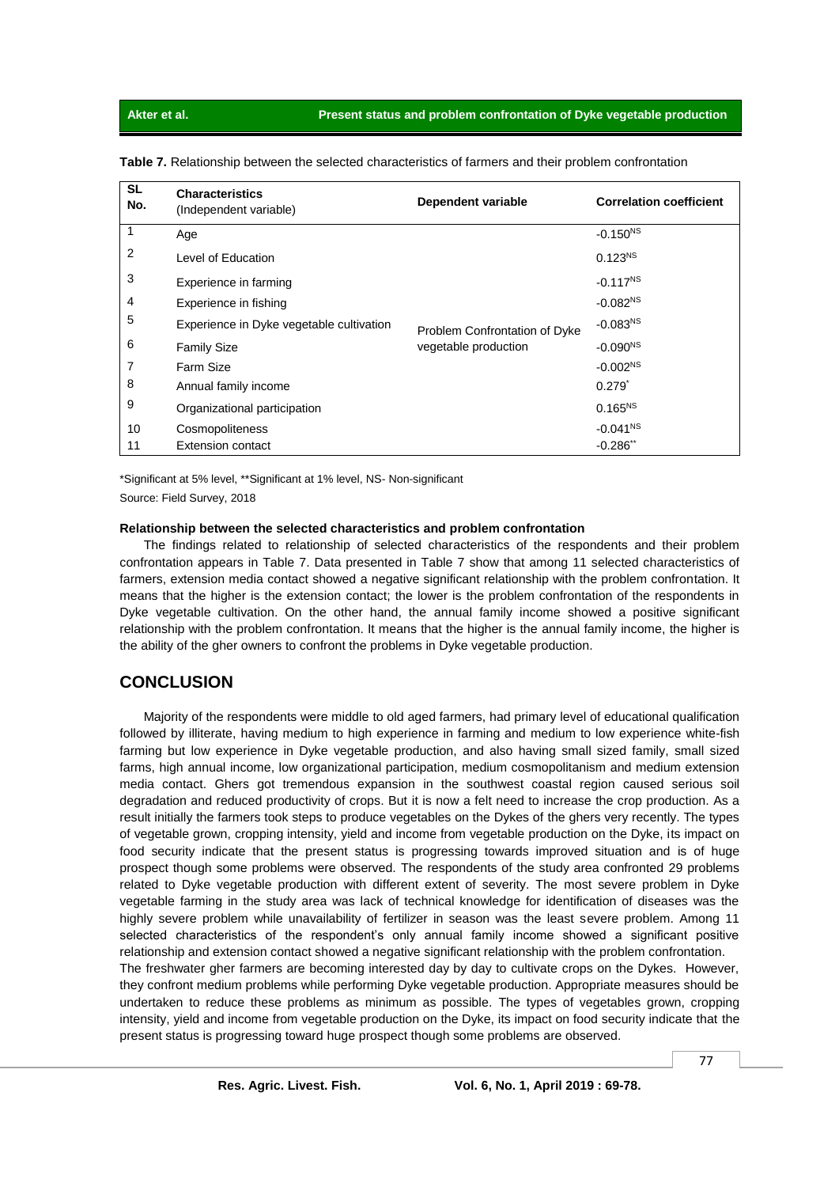| <b>SL</b><br>No. | <b>Characteristics</b><br>(Independent variable) | Dependent variable                                    | <b>Correlation coefficient</b> |
|------------------|--------------------------------------------------|-------------------------------------------------------|--------------------------------|
| 1                | Age                                              |                                                       | $-0.150^{NS}$                  |
| 2                | Level of Education                               |                                                       | $0.123^{NS}$                   |
| 3                | Experience in farming                            |                                                       | $-0.117^{NS}$                  |
| 4                | Experience in fishing                            |                                                       | $-0.082NS$                     |
| 5                | Experience in Dyke vegetable cultivation         | Problem Confrontation of Dyke<br>vegetable production | $-0.083NS$                     |
| 6                | <b>Family Size</b>                               |                                                       | $-0.090NS$                     |
| 7                | Farm Size                                        |                                                       | $-0.002NS$                     |
| 8                | Annual family income                             |                                                       | $0.279^{*}$                    |
| 9                | Organizational participation                     |                                                       | $0.165^{NS}$                   |
| 10               | Cosmopoliteness                                  |                                                       | $-0.041NS$                     |
| 11               | <b>Extension contact</b>                         |                                                       | $-0.286$ **                    |

**Table 7.** Relationship between the selected characteristics of farmers and their problem confrontation

\*Significant at 5% level, \*\*Significant at 1% level, NS- Non-significant

Source: Field Survey, 2018

#### **Relationship between the selected characteristics and problem confrontation**

The findings related to relationship of selected characteristics of the respondents and their problem confrontation appears in Table 7. Data presented in Table 7 show that among 11 selected characteristics of farmers, extension media contact showed a negative significant relationship with the problem confrontation. It means that the higher is the extension contact; the lower is the problem confrontation of the respondents in Dyke vegetable cultivation. On the other hand, the annual family income showed a positive significant relationship with the problem confrontation. It means that the higher is the annual family income, the higher is the ability of the gher owners to confront the problems in Dyke vegetable production.

# **CONCLUSION**

Majority of the respondents were middle to old aged farmers, had primary level of educational qualification followed by illiterate, having medium to high experience in farming and medium to low experience white-fish farming but low experience in Dyke vegetable production, and also having small sized family, small sized farms, high annual income, low organizational participation, medium cosmopolitanism and medium extension media contact. Ghers got tremendous expansion in the southwest coastal region caused serious soil degradation and reduced productivity of crops. But it is now a felt need to increase the crop production. As a result initially the farmers took steps to produce vegetables on the Dykes of the ghers very recently. The types of vegetable grown, cropping intensity, yield and income from vegetable production on the Dyke, its impact on food security indicate that the present status is progressing towards improved situation and is of huge prospect though some problems were observed. The respondents of the study area confronted 29 problems related to Dyke vegetable production with different extent of severity. The most severe problem in Dyke vegetable farming in the study area was lack of technical knowledge for identification of diseases was the highly severe problem while unavailability of fertilizer in season was the least severe problem. Among 11 selected characteristics of the respondent's only annual family income showed a significant positive relationship and extension contact showed a negative significant relationship with the problem confrontation.

The freshwater gher farmers are becoming interested day by day to cultivate crops on the Dykes. However, they confront medium problems while performing Dyke vegetable production. Appropriate measures should be undertaken to reduce these problems as minimum as possible. The types of vegetables grown, cropping intensity, yield and income from vegetable production on the Dyke, its impact on food security indicate that the present status is progressing toward huge prospect though some problems are observed.